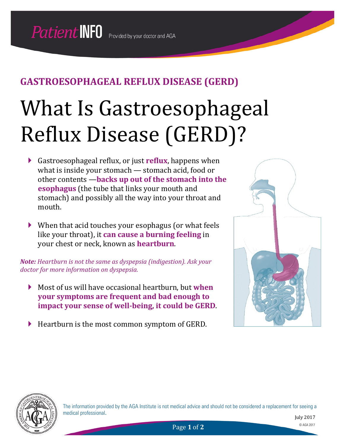# What Is Gastroesophageal Reflux Disease (GERD)?

- Gastroesophageal reflux, or just **reflux**, happens when what is inside your stomach — stomach acid, food or other contents —**backs up out of the stomach into the esophagus** (the tube that links your mouth and stomach) and possibly all the way into your throat and mouth.
- When that acid touches your esophagus (or what feels like your throat), it **can cause a burning feeling** in your chest or neck, known as **heartburn**.

*Note: Heartburn is not the same as dyspepsia (indigestion). Ask your doctor for more information on dyspepsia.*

- Most of us will have occasional heartburn, but **when your symptoms are frequent and bad enough to impact your sense of well-being, it could be GERD**.
- Heartburn is the most common symptom of GERD.





The information provided by the AGA Institute is not medical advice and should not be considered a replacement for seeing a medical professional.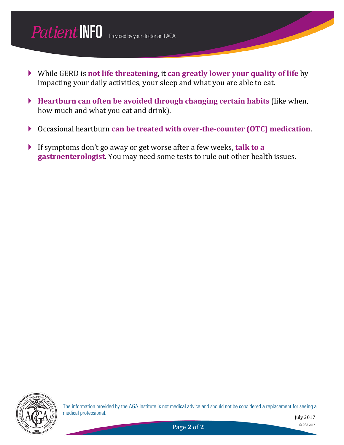

- While GERD is **not life threatening**, it **can greatly lower your quality of life** by impacting your daily activities, your sleep and what you are able to eat.
- **Heartburn can often be avoided through changing certain habits** (like when, how much and what you eat and drink).
- Occasional heartburn **can be treated with over-the-counter (OTC) medication**.
- If symptoms don't go away or get worse after a few weeks, **talk to a gastroenterologist**. You may need some tests to rule out other health issues.



The information provided by the AGA Institute is not medical advice and should not be considered a replacement for seeing a medical professional.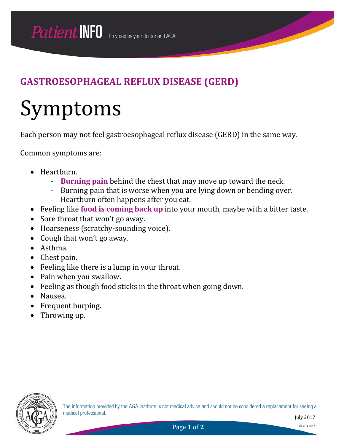# Symptoms

Each person may not feel gastroesophageal reflux disease (GERD) in the same way.

Common symptoms are:

- Heartburn.
	- **Burning pain** behind the chest that may move up toward the neck.
	- Burning pain that is worse when you are lying down or bending over.
	- Heartburn often happens after you eat.
- Feeling like **food is coming back up** into your mouth, maybe with a bitter taste.
- Sore throat that won't go away.
- Hoarseness (scratchy-sounding voice).
- Cough that won't go away.
- Asthma.
- Chest pain.
- Feeling like there is a lump in your throat.
- Pain when you swallow.
- Feeling as though food sticks in the throat when going down.
- Nausea.
- Frequent burping.
- Throwing up.



The information provided by the AGA Institute is not medical advice and should not be considered a replacement for seeing a medical professional.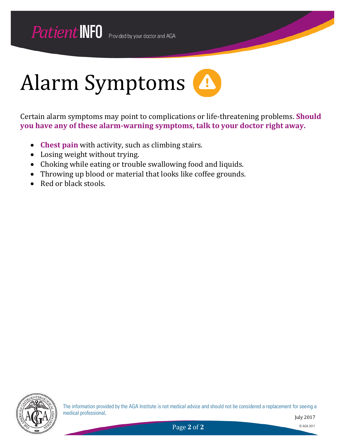

Certain alarm symptoms may point to complications or life-threatening problems. **Should you have any of these alarm-warning symptoms, talk to your doctor right away.**

- **Chest pain** with activity, such as climbing stairs.
- Losing weight without trying.
- Choking while eating or trouble swallowing food and liquids.
- Throwing up blood or material that looks like coffee grounds.
- Red or black stools.



The information provided by the AGA Institute is not medical advice and should not be considered a replacement for seeing a medical professional.

July 2017

Page 2 of 2 © AGA 2017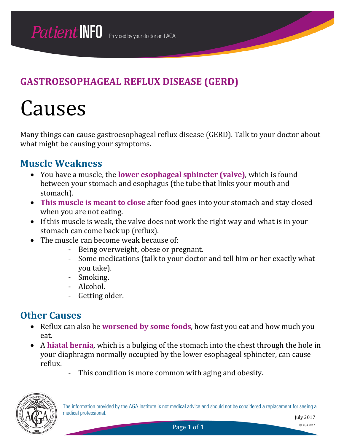## **Causes**

Many things can cause gastroesophageal reflux disease (GERD). Talk to your doctor about what might be causing your symptoms.

#### **Muscle Weakness**

- You have a muscle, the **lower esophageal sphincter (valve)**, which is found between your stomach and esophagus (the tube that links your mouth and stomach).
- **This muscle is meant to close** after food goes into your stomach and stay closed when you are not eating.
- If this muscle is weak, the valve does not work the right way and what is in your stomach can come back up (reflux).
- The muscle can become weak because of:
	- Being overweight, obese or pregnant.
	- Some medications (talk to your doctor and tell him or her exactly what you take).
	- Smoking.
	- Alcohol.
	- Getting older.

#### **Other Causes**

- Reflux can also be **worsened by some foods**, how fast you eat and how much you eat.
- A **hiatal hernia**, which is a bulging of the stomach into the chest through the hole in your diaphragm normally occupied by the lower esophageal sphincter, can cause reflux.
	- This condition is more common with aging and obesity.

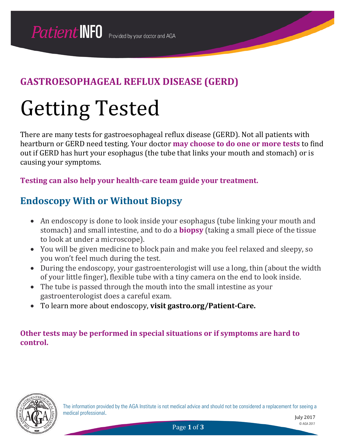# Getting Tested

There are many tests for gastroesophageal reflux disease (GERD). Not all patients with heartburn or GERD need testing. Your doctor **may choose to do one or more tests** to find out if GERD has hurt your esophagus (the tube that links your mouth and stomach) or is causing your symptoms.

**Testing can also help your health-care team guide your treatment.**

#### **Endoscopy With or Without Biopsy**

- An endoscopy is done to look inside your esophagus (tube linking your mouth and stomach) and small intestine, and to do a **biopsy** (taking a small piece of the tissue to look at under a microscope).
- You will be given medicine to block pain and make you feel relaxed and sleepy, so you won't feel much during the test.
- During the endoscopy, your gastroenterologist will use a long, thin (about the width of your little finger), flexible tube with a tiny camera on the end to look inside.
- The tube is passed through the mouth into the small intestine as your gastroenterologist does a careful exam.
- To learn more about endoscopy, **visit gastro.org/Patient-Care.**

#### **Other tests may be performed in special situations or if symptoms are hard to control.**



The information provided by the AGA Institute is not medical advice and should not be considered a replacement for seeing a medical professional.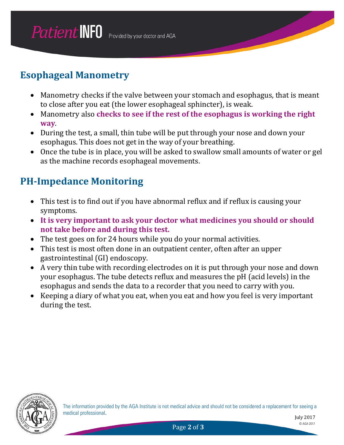#### **Esophageal Manometry**

- Manometry checks if the valve between your stomach and esophagus, that is meant to close after you eat (the lower esophageal sphincter), is weak.
- Manometry also **checks to see if the rest of the esophagus is working the right way**.
- During the test, a small, thin tube will be put through your nose and down your esophagus. This does not get in the way of your breathing.
- Once the tube is in place, you will be asked to swallow small amounts of water or gel as the machine records esophageal movements.

#### **PH-Impedance Monitoring**

- This test is to find out if you have abnormal reflux and if reflux is causing your symptoms.
- **It is very important to ask your doctor what medicines you should or should not take before and during this test.**
- The test goes on for 24 hours while you do your normal activities.
- This test is most often done in an outpatient center, often after an upper gastrointestinal (GI) endoscopy.
- A very thin tube with recording electrodes on it is put through your nose and down your esophagus. The tube detects reflux and measures the pH (acid levels) in the esophagus and sends the data to a recorder that you need to carry with you.
- Keeping a diary of what you eat, when you eat and how you feel is very important during the test.

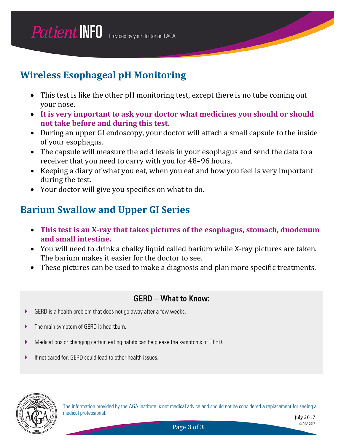## **Wireless Esophageal pH Monitoring**

- This test is like the other pH monitoring test, except there is no tube coming out your nose.
- **It is very important to ask your doctor what medicines you should or should not take before and during this test.**
- During an upper GI endoscopy, your doctor will attach a small capsule to the inside of your esophagus.
- The capsule will measure the acid levels in your esophagus and send the data to a receiver that you need to carry with you for 48–96 hours.
- Keeping a diary of what you eat, when you eat and how you feel is very important during the test.
- Your doctor will give you specifics on what to do.

#### **Barium Swallow and Upper GI Series**

- **This test is an X-ray that takes pictures of the esophagus, stomach, duodenum and small intestine.**
- You will need to drink a chalky liquid called barium while X-ray pictures are taken. The barium makes it easier for the doctor to see.
- These pictures can be used to make a diagnosis and plan more specific treatments.

#### GERD – What to Know:

- GERD is a health problem that does not go away after a few weeks.
- **The main symptom of GERD is heartburn.**
- Medications or changing certain eating habits can help ease the symptoms of GERD.
- If not cared for, GERD could lead to other health issues.



The information provided by the AGA Institute is not medical advice and should not be considered a replacement for seeing a medical professional.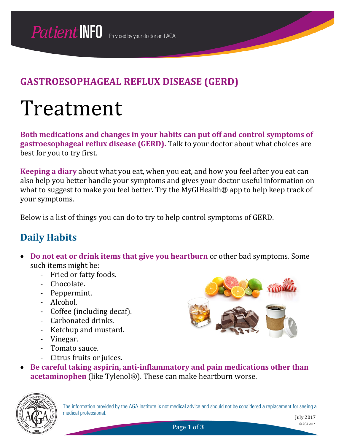## Treatment

**Both medications and changes in your habits can put off and control symptoms of gastroesophageal reflux disease (GERD).** Talk to your doctor about what choices are best for you to try first.

**Keeping a diary** about what you eat, when you eat, and how you feel after you eat can also help you better handle your symptoms and gives your doctor useful information on what to suggest to make you feel better. Try the MyGIHealth® app to help keep track of your symptoms.

Below is a list of things you can do to try to help control symptoms of GERD.

#### **Daily Habits**

- **Do not eat or drink items that give you heartburn** or other bad symptoms. Some such items might be:
	- Fried or fatty foods.
	- Chocolate.
	- Peppermint.
	- Alcohol.
	- Coffee (including decaf).
	- Carbonated drinks.
	- Ketchup and mustard.
	- Vinegar.
	- Tomato sauce.
	- Citrus fruits or juices.
- 
- **Be careful taking aspirin, anti-inflammatory and pain medications other than acetaminophen** (like Tylenol®). These can make heartburn worse.



The information provided by the AGA Institute is not medical advice and should not be considered a replacement for seeing a medical professional.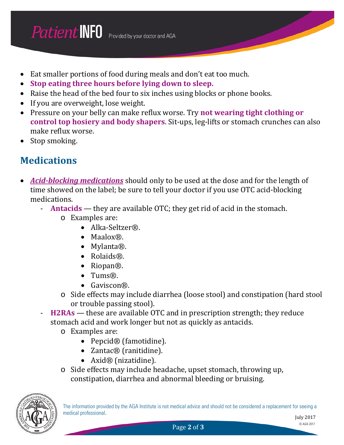- Eat smaller portions of food during meals and don't eat too much.
- **Stop eating three hours before lying down to sleep.**
- Raise the head of the bed four to six inches using blocks or phone books.
- If you are overweight, lose weight.
- Pressure on your belly can make reflux worse. Try **not wearing tight clothing or control top hosiery and body shapers**. Sit-ups, leg-lifts or stomach crunches can also make reflux worse.
- Stop smoking.

#### **Medications**

- *Acid-blocking medications* should only to be used at the dose and for the length of time showed on the label; be sure to tell your doctor if you use OTC acid-blocking medications.
	- **Antacids** they are available OTC; they get rid of acid in the stomach.
		- o Examples are:
			- Alka-Seltzer®.
			- Maalox®.
			- Mylanta®.
			- Rolaids®.
			- Riopan®.
			- Tums®.
			- Gaviscon®.
		- o Side effects may include diarrhea (loose stool) and constipation (hard stool or trouble passing stool).
		- H2RAs these are available OTC and in prescription strength; they reduce stomach acid and work longer but not as quickly as antacids.
			- o Examples are:
				- Pepcid® (famotidine).
				- Zantac® (ranitidine).
				- Axid® (nizatidine).
			- o Side effects may include headache, upset stomach, throwing up, constipation, diarrhea and abnormal bleeding or bruising.

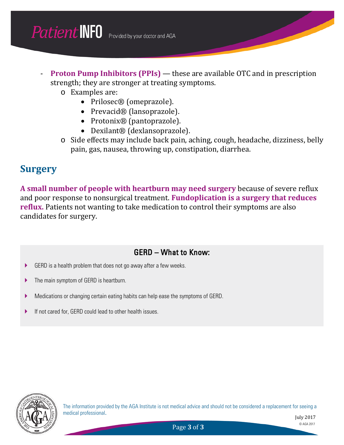- **Proton Pump Inhibitors (PPIs)** these are available OTC and in prescription strength; they are stronger at treating symptoms.
	- o Examples are:
		- Prilosec® (omeprazole).
		- Prevacid® (lansoprazole).
		- Protonix<sup>®</sup> (pantoprazole).
		- Dexilant® (dexlansoprazole).
	- o Side effects may include back pain, aching, cough, headache, dizziness, belly pain, gas, nausea, throwing up, constipation, diarrhea.

#### **Surgery**

**A small number of people with heartburn may need surgery** because of severe reflux and poor response to nonsurgical treatment. **Fundoplication is a surgery that reduces reflux.** Patients not wanting to take medication to control their symptoms are also candidates for surgery.

#### GERD – What to Know:

- GERD is a health problem that does not go away after a few weeks.
- **The main symptom of GERD is heartburn.**
- Medications or changing certain eating habits can help ease the symptoms of GERD.
- If not cared for, GERD could lead to other health issues.



The information provided by the AGA Institute is not medical advice and should not be considered a replacement for seeing a medical professional.